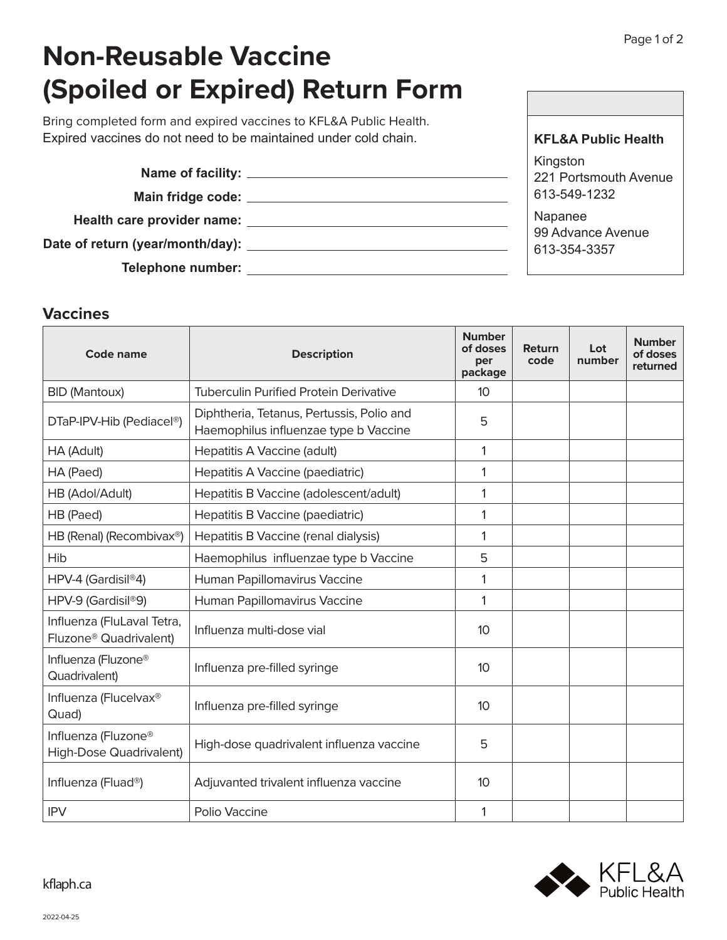**KFL&A Public Health**

## **Non-Reusable Vaccine (Spoiled or Expired) Return Form**

Bring completed form and expired vaccines to KFL&A Public Health. Expired vaccines do not need to be maintained under cold chain.

|                                  | Kingston                          |
|----------------------------------|-----------------------------------|
|                                  | 221 Portsmouth Avenue             |
|                                  | 613-549-1232                      |
| Health care provider name:       | Napanee                           |
| Date of return (year/month/day): | 99 Advance Avenue<br>613-354-3357 |
| <b>Telephone number:</b>         |                                   |

## **Vaccines**

| Code name                                                        | <b>Description</b>                                                                 | <b>Number</b><br>of doses<br>per<br>package | Return<br>code | Lot<br>number | <b>Number</b><br>of doses<br>returned |
|------------------------------------------------------------------|------------------------------------------------------------------------------------|---------------------------------------------|----------------|---------------|---------------------------------------|
| <b>BID (Mantoux)</b>                                             | <b>Tuberculin Purified Protein Derivative</b>                                      | 10                                          |                |               |                                       |
| DTaP-IPV-Hib (Pediacel®)                                         | Diphtheria, Tetanus, Pertussis, Polio and<br>Haemophilus influenzae type b Vaccine | 5                                           |                |               |                                       |
| HA (Adult)                                                       | Hepatitis A Vaccine (adult)                                                        | 1                                           |                |               |                                       |
| HA (Paed)                                                        | Hepatitis A Vaccine (paediatric)                                                   | 1                                           |                |               |                                       |
| HB (Adol/Adult)                                                  | Hepatitis B Vaccine (adolescent/adult)                                             | 1                                           |                |               |                                       |
| HB (Paed)                                                        | Hepatitis B Vaccine (paediatric)                                                   | 1                                           |                |               |                                       |
| HB (Renal) (Recombivax <sup>®</sup> )                            | Hepatitis B Vaccine (renal dialysis)                                               | 1                                           |                |               |                                       |
| Hib                                                              | Haemophilus influenzae type b Vaccine                                              | 5                                           |                |               |                                       |
| HPV-4 (Gardisil®4)                                               | Human Papillomavirus Vaccine                                                       | 1                                           |                |               |                                       |
| HPV-9 (Gardisil®9)                                               | Human Papillomavirus Vaccine                                                       | 1                                           |                |               |                                       |
| Influenza (FluLaval Tetra,<br>Fluzone <sup>®</sup> Quadrivalent) | Influenza multi-dose vial                                                          | 10                                          |                |               |                                       |
| Influenza (Fluzone®<br>Quadrivalent)                             | Influenza pre-filled syringe                                                       | 10                                          |                |               |                                       |
| Influenza (Flucelvax®<br>Quad)                                   | Influenza pre-filled syringe                                                       | 10                                          |                |               |                                       |
| Influenza (Fluzone®<br><b>High-Dose Quadrivalent)</b>            | High-dose quadrivalent influenza vaccine                                           | 5                                           |                |               |                                       |
| Influenza (Fluad <sup>®</sup> )                                  | Adjuvanted trivalent influenza vaccine                                             | 10                                          |                |               |                                       |
| <b>IPV</b>                                                       | Polio Vaccine                                                                      | 1                                           |                |               |                                       |